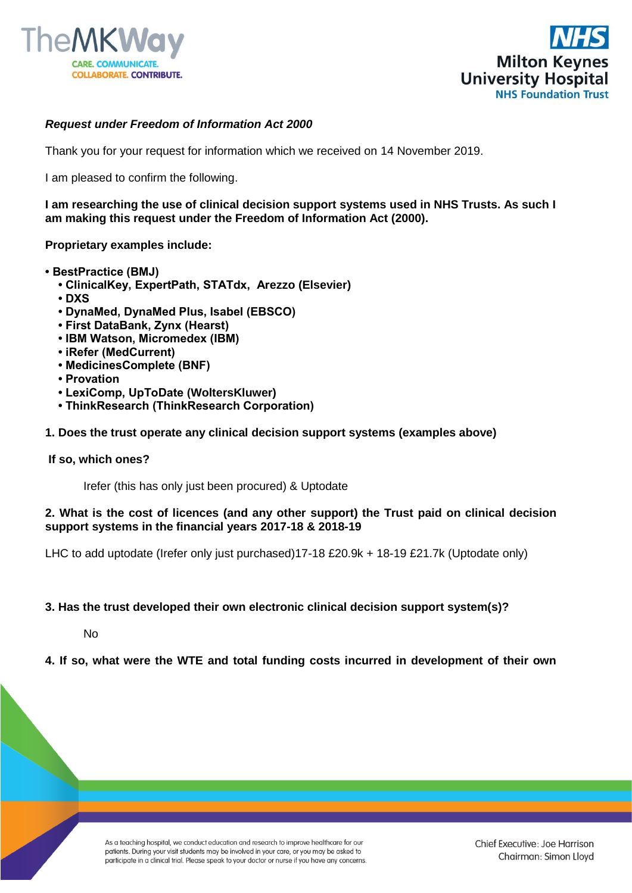



# *Request under Freedom of Information Act 2000*

Thank you for your request for information which we received on 14 November 2019.

I am pleased to confirm the following.

**I am researching the use of clinical decision support systems used in NHS Trusts. As such I am making this request under the Freedom of Information Act (2000).** 

**Proprietary examples include:**

- **BestPractice (BMJ)**
	- **ClinicalKey, ExpertPath, STATdx, Arezzo (Elsevier)**
	- **DXS**
	- **DynaMed, DynaMed Plus, Isabel (EBSCO)**
	- **First DataBank, Zynx (Hearst)**
	- **IBM Watson, Micromedex (IBM)**
	- **iRefer (MedCurrent)**
	- **MedicinesComplete (BNF)**
	- **Provation**
	- **LexiComp, UpToDate (WoltersKluwer)**
	- **ThinkResearch (ThinkResearch Corporation)**
- **1. Does the trust operate any clinical decision support systems (examples above)**

### **If so, which ones?**

Irefer (this has only just been procured) & Uptodate

### **2. What is the cost of licences (and any other support) the Trust paid on clinical decision support systems in the financial years 2017-18 & 2018-19**

LHC to add uptodate (Irefer only just purchased)17-18 £20.9k + 18-19 £21.7k (Uptodate only)

### **3. Has the trust developed their own electronic clinical decision support system(s)?**

No

### **4. If so, what were the WTE and total funding costs incurred in development of their own**

As a teaching hospital, we conduct education and research to improve healthcare for our patients. During your visit students may be involved in your care, or you may be asked to participate in a clinical trial. Please speak to your doctor or nurse if you have any concerns.